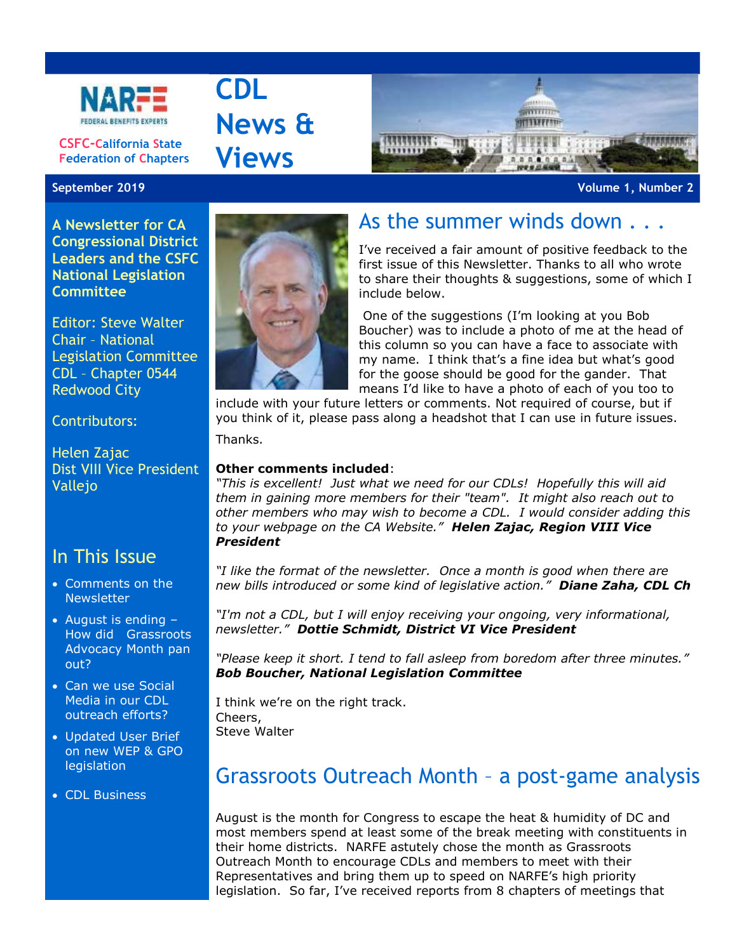

**CSFC-California State Federation of Chapters**

**A Newsletter for CA Congressional District Leaders and the CSFC National Legislation Committee**

Editor: Steve Walter Chair – National Legislation Committee CDL – Chapter 0544 Redwood City

#### Contributors:

Helen Zajac Dist VIII Vice President Vallejo

### In This Issue

- Comments on the **Newsletter**
- August is ending -How did Grassroots Advocacy Month pan out?
- Can we use Social Media in our CDL outreach efforts?
- Updated User Brief on new WEP & GPO legislation
- CDL Business



**September 2019 Volume 1, Number 2**



## As the summer winds down . . .

I've received a fair amount of positive feedback to the first issue of this Newsletter. Thanks to all who wrote to share their thoughts & suggestions, some of which I include below.

One of the suggestions (I'm looking at you Bob Boucher) was to include a photo of me at the head of this column so you can have a face to associate with my name. I think that's a fine idea but what's good for the goose should be good for the gander. That means I'd like to have a photo of each of you too to

include with your future letters or comments. Not required of course, but if you think of it, please pass along a headshot that I can use in future issues.

Thanks.

**CDL**

**News &**

**Views**

#### **Other comments included**:

*"This is excellent! Just what we need for our CDLs! Hopefully this will aid them in gaining more members for their "team". It might also reach out to other members who may wish to become a CDL. I would consider adding this to your webpage on the CA Website." Helen Zajac, Region VIII Vice President*

*"I like the format of the newsletter. Once a month is good when there are new bills introduced or some kind of legislative action." Diane Zaha, CDL Ch*

*"I'm not a CDL, but I will enjoy receiving your ongoing, very informational, newsletter." Dottie Schmidt, District VI Vice President* 

*"Please keep it short. I tend to fall asleep from boredom after three minutes." Bob Boucher, National Legislation Committee*

I think we're on the right track. Cheers, Steve Walter

### Grassroots Outreach Month – a post-game analysis

August is the month for Congress to escape the heat & humidity of DC and most members spend at least some of the break meeting with constituents in their home districts. NARFE astutely chose the month as Grassroots Outreach Month to encourage CDLs and members to meet with their Representatives and bring them up to speed on NARFE's high priority legislation. So far, I've received reports from 8 chapters of meetings that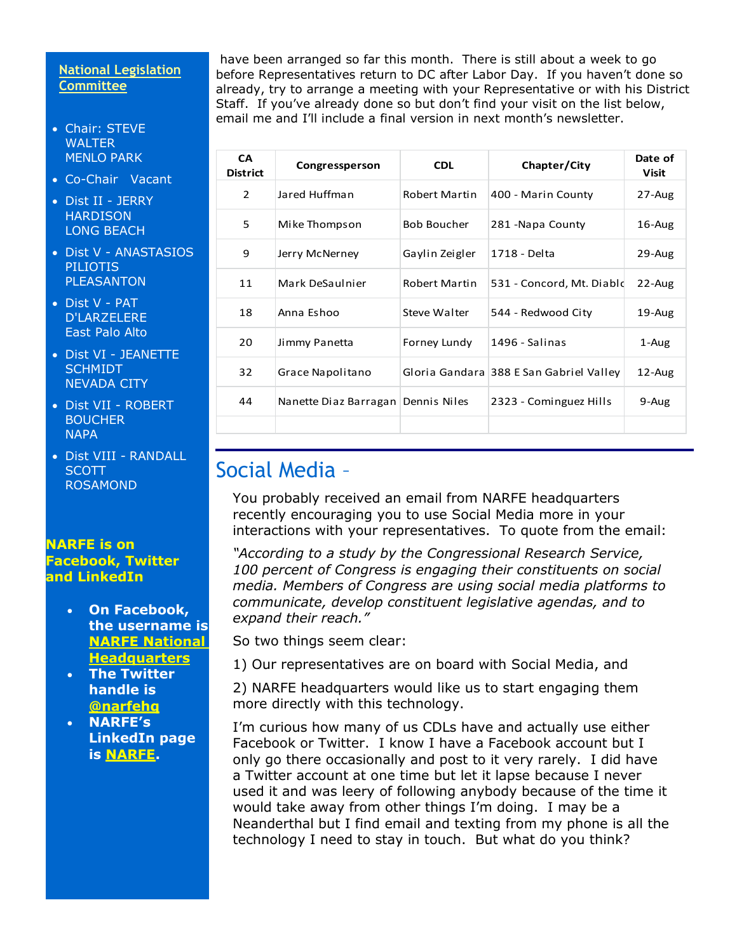### **National Legislation Committee**

- Chair: STEVE WALTER MENLO PARK
- Co-Chair Vacant
- Dist II JERRY **HARDISON** LONG BEACH
- Dist V ANASTASIOS PILIOTIS PLEASANTON
- Dist V PAT D'LARZELERE East Palo Alto
- Dist VI JEANETTE **SCHMIDT** NEVADA CITY
- Dist VII ROBERT **BOUCHER NAPA**
- Dist VIII RANDALL **SCOTT** ROSAMOND

#### **NARFE is on Facebook, Twitter and LinkedIn**

- **On Facebook, the username is [NARFE National](https://www.votervoice.net/BroadcastLinks/a6FVCWJbdvI_HsStxKkifg)  [Headquarters](https://www.votervoice.net/BroadcastLinks/a6FVCWJbdvI_HsStxKkifg)**
- **The Twitter handle is [@narfehq](https://www.votervoice.net/BroadcastLinks/dF0LhRWPdCWx8-Tt34T94A)**
- **NARFE's LinkedIn page is [NARFE.](https://www.votervoice.net/BroadcastLinks/pMBYB-S4XqA4Vmg-MW7rAQ)**

have been arranged so far this month. There is still about a week to go before Representatives return to DC after Labor Day. If you haven't done so already, try to arrange a meeting with your Representative or with his District Staff. If you've already done so but don't find your visit on the list below, email me and I'll include a final version in next month's newsletter.

| <b>CA</b><br><b>District</b> | Congressperson                       | <b>CDL</b>         | Chapter/City                            | Date of<br>Visit |
|------------------------------|--------------------------------------|--------------------|-----------------------------------------|------------------|
| 2                            | Jared Huffman                        | Robert Martin      | 400 - Marin County                      | $27 - Aug$       |
| 5                            | Mike Thompson                        | <b>Bob Boucher</b> | 281 - Napa County                       | $16$ -Aug        |
| 9                            | Jerry McNerney                       | Gaylin Zeigler     | 1718 - Delta                            | 29-Aug           |
| 11                           | Mark DeSaulnier                      | Robert Martin      | 531 - Concord, Mt. Diabld               | $22$ -Aug        |
| 18                           | Anna Eshoo                           | Steve Walter       | 544 - Redwood City                      | $19$ -Aug        |
| 20                           | Jimmy Panetta                        | Forney Lundy       | 1496 - Salinas                          | 1-Aug            |
| 32                           | Grace Napolitano                     |                    | Gloria Gandara 388 E San Gabriel Valley | $12$ -Aug        |
| 44                           | Nanette Diaz Barragan   Dennis Niles |                    | 2323 - Cominguez Hills                  | 9-Aug            |
|                              |                                      |                    |                                         |                  |

# Social Media –

You probably received an email from NARFE headquarters recently encouraging you to use Social Media more in your interactions with your representatives. To quote from the email:

*"According to a study by the Congressional Research Service, 100 percent of Congress is engaging their constituents on social media. Members of Congress are using social media platforms to communicate, develop constituent legislative agendas, and to expand their reach."*

So two things seem clear:

1) Our representatives are on board with Social Media, and

2) NARFE headquarters would like us to start engaging them more directly with this technology.

I'm curious how many of us CDLs have and actually use either Facebook or Twitter. I know I have a Facebook account but I only go there occasionally and post to it very rarely. I did have a Twitter account at one time but let it lapse because I never used it and was leery of following anybody because of the time it would take away from other things I'm doing. I may be a Neanderthal but I find email and texting from my phone is all the technology I need to stay in touch. But what do you think?